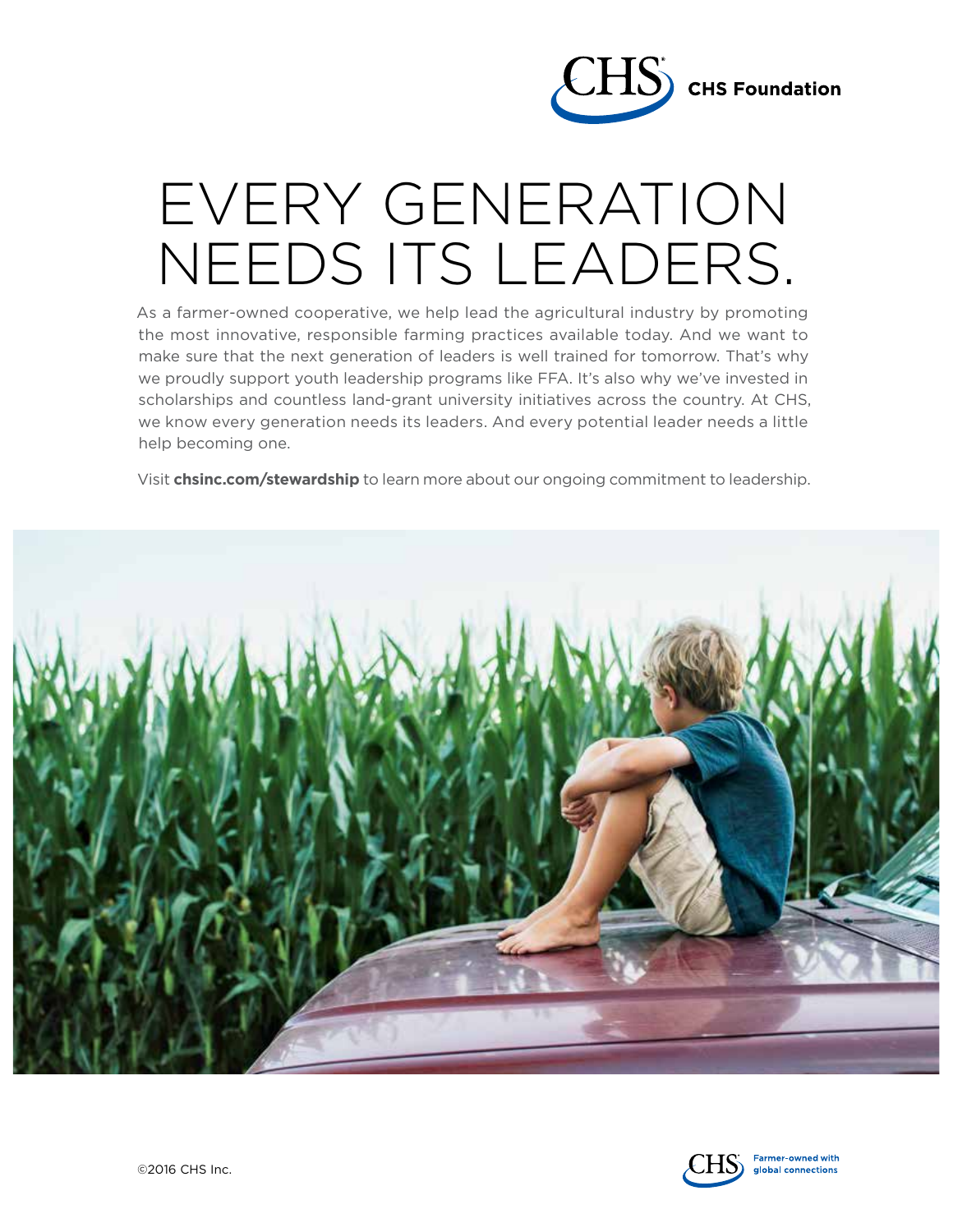

## EVERY GENERATION [NEEDS ITS LEADERS.](http://www.chsinc.com/stewardship/leadership-development)

As a farmer-owned cooperative, we help lead the agricultural industry by promoting the most innovative, responsible farming practices available today. And we want to make sure that the next generation of leaders is well trained for tomorrow. That's why we proudly support youth leadership programs like FFA. It's also why we've invested in scholarships and countless land-grant university initiatives across the country. At CHS, we know every generation needs its leaders. And every potential leader needs a little help becoming one.

Visit **chsinc.com/stewardship** to learn more about our ongoing commitment to leadership.



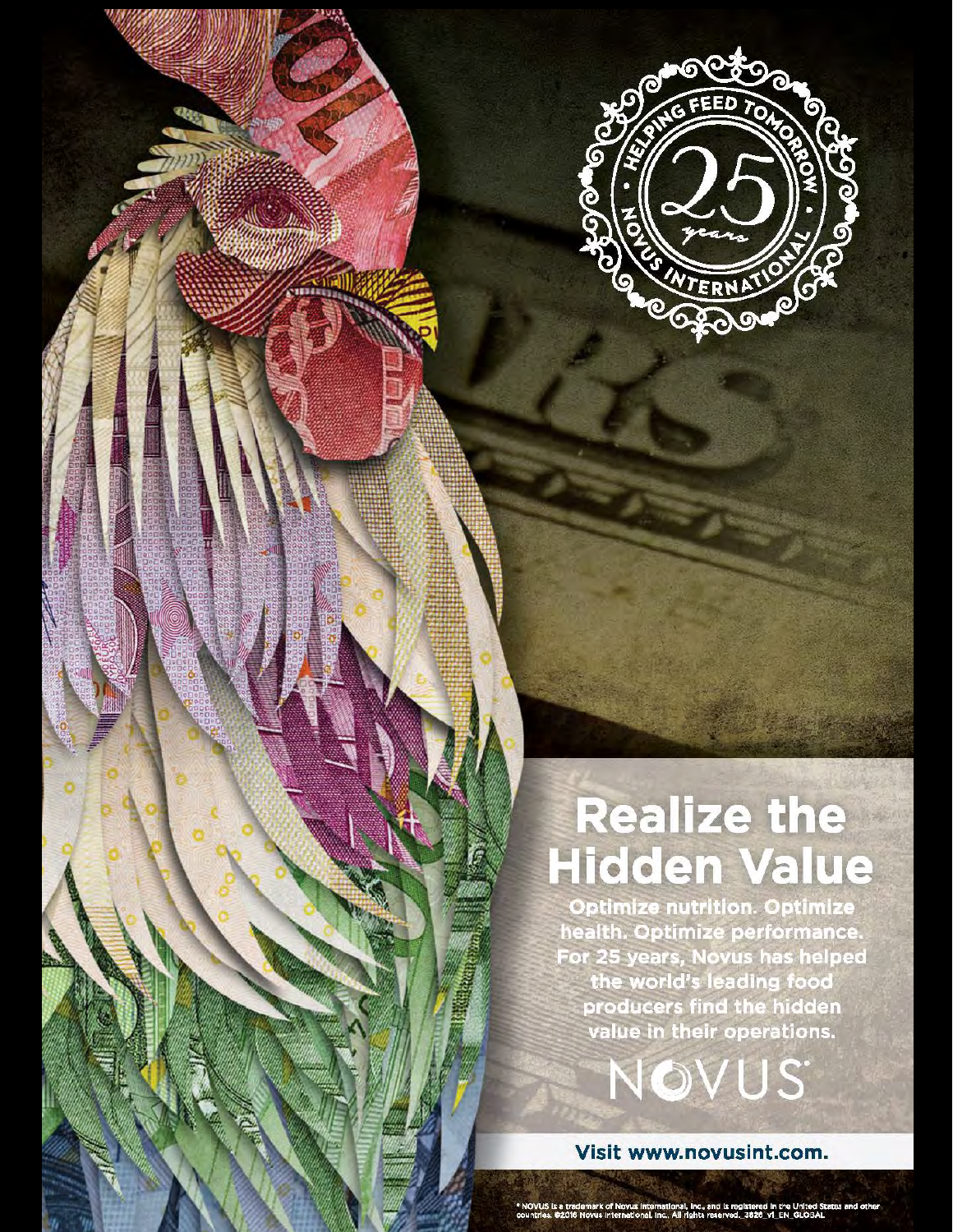

## **Realize the Hidden Value**

**Optimize nutrition. Optimize** health. Optimize performance. For 25 years, Novus has helped the world's leading food producers find the hidden<br>value in their operations.

Visit www.novusint.com.

NOVUS